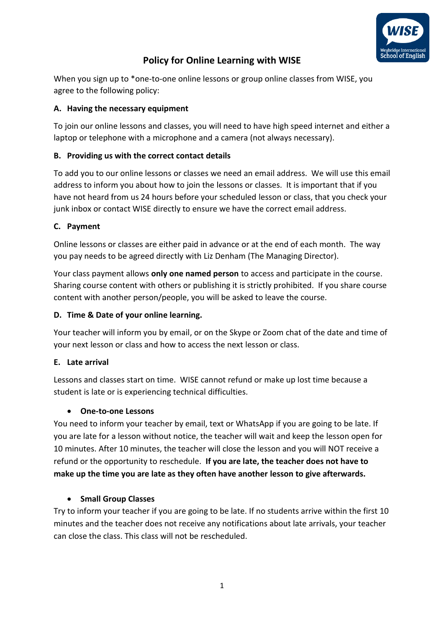

# **Policy for Online Learning with WISE**

When you sign up to \*one-to-one online lessons or group online classes from WISE, you agree to the following policy:

#### **A. Having the necessary equipment**

To join our online lessons and classes, you will need to have high speed internet and either a laptop or telephone with a microphone and a camera (not always necessary).

## **B. Providing us with the correct contact details**

To add you to our online lessons or classes we need an email address. We will use this email address to inform you about how to join the lessons or classes. It is important that if you have not heard from us 24 hours before your scheduled lesson or class, that you check your junk inbox or contact WISE directly to ensure we have the correct email address.

#### **C. Payment**

Online lessons or classes are either paid in advance or at the end of each month. The way you pay needs to be agreed directly with Liz Denham (The Managing Director).

Your class payment allows **only one named person** to access and participate in the course. Sharing course content with others or publishing it is strictly prohibited. If you share course content with another person/people, you will be asked to leave the course.

### **D. Time & Date of your online learning.**

Your teacher will inform you by email, or on the Skype or Zoom chat of the date and time of your next lesson or class and how to access the next lesson or class.

#### **E. Late arrival**

Lessons and classes start on time. WISE cannot refund or make up lost time because a student is late or is experiencing technical difficulties.

#### • **One-to-one Lessons**

You need to inform your teacher by email, text or WhatsApp if you are going to be late. If you are late for a lesson without notice, the teacher will wait and keep the lesson open for 10 minutes. After 10 minutes, the teacher will close the lesson and you will NOT receive a refund or the opportunity to reschedule. **If you are late, the teacher does not have to make up the time you are late as they often have another lesson to give afterwards.** 

#### • **Small Group Classes**

Try to inform your teacher if you are going to be late. If no students arrive within the first 10 minutes and the teacher does not receive any notifications about late arrivals, your teacher can close the class. This class will not be rescheduled.